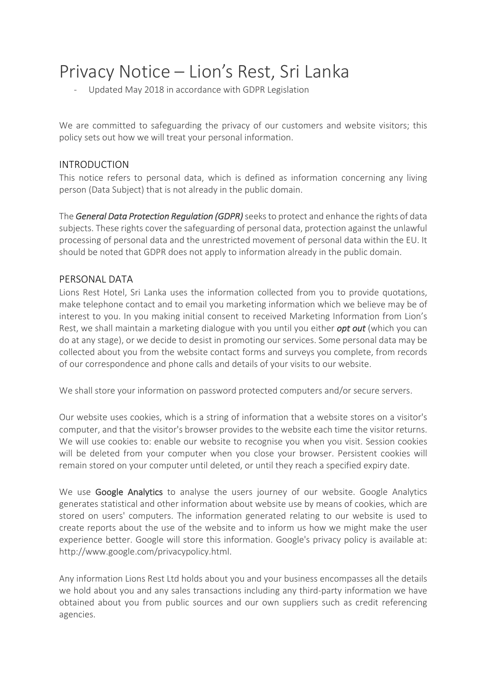# Privacy Notice – Lion's Rest, Sri Lanka

Updated May 2018 in accordance with GDPR Legislation

We are committed to safeguarding the privacy of our customers and website visitors; this policy sets out how we will treat your personal information.

# INTRODUCTION

This notice refers to personal data, which is defined as information concerning any living person (Data Subject) that is not already in the public domain.

The **General Data Protection Regulation (GDPR)** seeks to protect and enhance the rights of data subjects. These rights cover the safeguarding of personal data, protection against the unlawful processing of personal data and the unrestricted movement of personal data within the EU. It should be noted that GDPR does not apply to information already in the public domain.

## PERSONAL DATA

Lions Rest Hotel, Sri Lanka uses the information collected from you to provide quotations, make telephone contact and to email you marketing information which we believe may be of interest to you. In you making initial consent to received Marketing Information from Lion's Rest, we shall maintain a marketing dialogue with you until you either *opt out* (which you can do at any stage), or we decide to desist in promoting our services. Some personal data may be collected about you from the website contact forms and surveys you complete, from records of our correspondence and phone calls and details of your visits to our website.

We shall store your information on password protected computers and/or secure servers.

Our website uses cookies, which is a string of information that a website stores on a visitor's computer, and that the visitor's browser provides to the website each time the visitor returns. We will use cookies to: enable our website to recognise you when you visit. Session cookies will be deleted from your computer when you close your browser. Persistent cookies will remain stored on your computer until deleted, or until they reach a specified expiry date.

We use Google Analytics to analyse the users journey of our website. Google Analytics generates statistical and other information about website use by means of cookies, which are stored on users' computers. The information generated relating to our website is used to create reports about the use of the website and to inform us how we might make the user experience better. Google will store this information. Google's privacy policy is available at: http://www.google.com/privacypolicy.html.

Any information Lions Rest Ltd holds about you and your business encompasses all the details we hold about you and any sales transactions including any third-party information we have obtained about you from public sources and our own suppliers such as credit referencing agencies.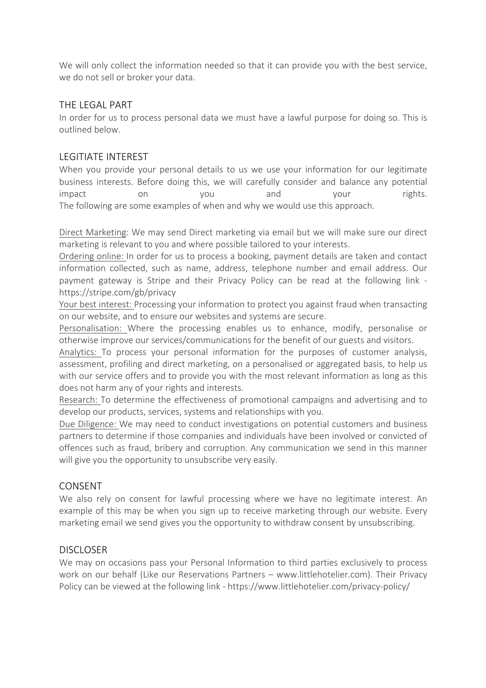We will only collect the information needed so that it can provide you with the best service, we do not sell or broker your data.

#### THE LEGAL PART

In order for us to process personal data we must have a lawful purpose for doing so. This is outlined below.

#### LEGITIATE INTEREST

When you provide your personal details to us we use your information for our legitimate business interests. Before doing this, we will carefully consider and balance any potential impact on on you and your rights. The following are some examples of when and why we would use this approach.

Direct Marketing: We may send Direct marketing via email but we will make sure our direct marketing is relevant to you and where possible tailored to your interests.

Ordering online: In order for us to process a booking, payment details are taken and contact information collected, such as name, address, telephone number and email address. Our payment gateway is Stripe and their Privacy Policy can be read at the following link https://stripe.com/gb/privacy

Your best interest: Processing your information to protect you against fraud when transacting on our website, and to ensure our websites and systems are secure.

Personalisation: Where the processing enables us to enhance, modify, personalise or otherwise improve our services/communications for the benefit of our guests and visitors.

Analytics: To process your personal information for the purposes of customer analysis, assessment, profiling and direct marketing, on a personalised or aggregated basis, to help us with our service offers and to provide you with the most relevant information as long as this does not harm any of your rights and interests.

Research: To determine the effectiveness of promotional campaigns and advertising and to develop our products, services, systems and relationships with you.

Due Diligence: We may need to conduct investigations on potential customers and business partners to determine if those companies and individuals have been involved or convicted of offences such as fraud, bribery and corruption. Any communication we send in this manner will give you the opportunity to unsubscribe very easily.

#### CONSENT

We also rely on consent for lawful processing where we have no legitimate interest. An example of this may be when you sign up to receive marketing through our website. Every marketing email we send gives you the opportunity to withdraw consent by unsubscribing.

#### **DISCLOSER**

We may on occasions pass your Personal Information to third parties exclusively to process work on our behalf (Like our Reservations Partners – www.littlehotelier.com). Their Privacy Policy can be viewed at the following link - https://www.littlehotelier.com/privacy-policy/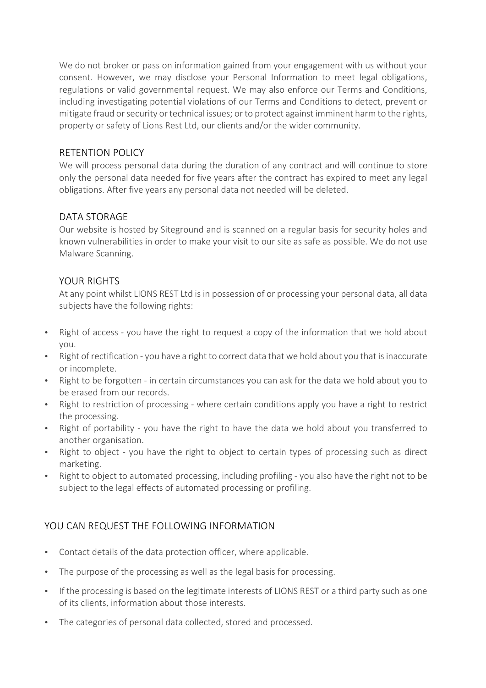We do not broker or pass on information gained from your engagement with us without your consent. However, we may disclose your Personal Information to meet legal obligations, regulations or valid governmental request. We may also enforce our Terms and Conditions, including investigating potential violations of our Terms and Conditions to detect, prevent or mitigate fraud or security or technical issues; or to protect against imminent harm to the rights, property or safety of Lions Rest Ltd, our clients and/or the wider community.

#### RETENTION POLICY

We will process personal data during the duration of any contract and will continue to store only the personal data needed for five years after the contract has expired to meet any legal obligations. After five years any personal data not needed will be deleted.

# DATA STORAGE

Our website is hosted by Siteground and is scanned on a regular basis for security holes and known vulnerabilities in order to make your visit to our site as safe as possible. We do not use Malware Scanning.

#### YOUR RIGHTS

At any point whilst LIONS REST Ltd is in possession of or processing your personal data, all data subjects have the following rights:

- Right of access you have the right to request a copy of the information that we hold about you.
- Right of rectification you have a right to correct data that we hold about you that is inaccurate or incomplete.
- Right to be forgotten in certain circumstances you can ask for the data we hold about you to be erased from our records.
- Right to restriction of processing where certain conditions apply you have a right to restrict the processing.
- Right of portability you have the right to have the data we hold about you transferred to another organisation.
- Right to object you have the right to object to certain types of processing such as direct marketing.
- Right to object to automated processing, including profiling you also have the right not to be subject to the legal effects of automated processing or profiling.

# YOU CAN REQUEST THE FOLLOWING INFORMATION

- Contact details of the data protection officer, where applicable.
- The purpose of the processing as well as the legal basis for processing.
- If the processing is based on the legitimate interests of LIONS REST or a third party such as one of its clients, information about those interests.
- The categories of personal data collected, stored and processed.